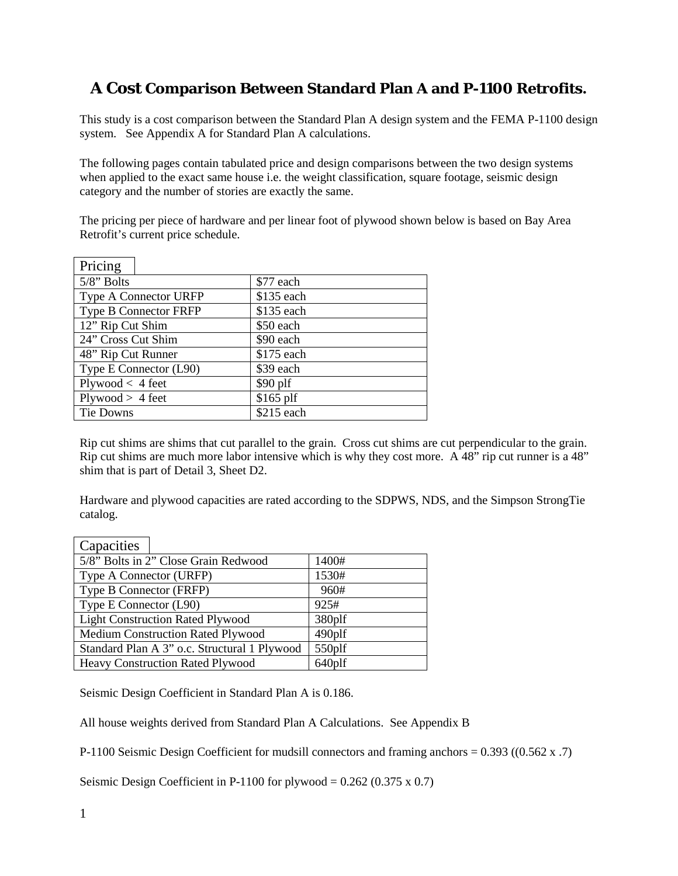# **A Cost Comparison Between Standard Plan A and P-1100 Retrofits.**

This study is a cost comparison between the Standard Plan A design system and the FEMA P-1100 design system. See Appendix A for Standard Plan A calculations.

The following pages contain tabulated price and design comparisons between the two design systems when applied to the exact same house i.e. the weight classification, square footage, seismic design category and the number of stories are exactly the same.

The pricing per piece of hardware and per linear foot of plywood shown below is based on Bay Area Retrofit's current price schedule.

| Pricing                      |            |
|------------------------------|------------|
| $5/8$ " Bolts                | \$77 each  |
| <b>Type A Connector URFP</b> | \$135 each |
| Type B Connector FRFP        | \$135 each |
| 12" Rip Cut Shim             | \$50 each  |
| 24" Cross Cut Shim           | \$90 each  |
| 48" Rip Cut Runner           | \$175 each |
| Type E Connector (L90)       | \$39 each  |
| $Plywood < 4$ feet           | $$90$ plf  |
| Plywood > 4 feet             | $$165$ plf |
| Tie Downs                    | \$215 each |

Rip cut shims are shims that cut parallel to the grain. Cross cut shims are cut perpendicular to the grain. Rip cut shims are much more labor intensive which is why they cost more. A 48" rip cut runner is a 48" shim that is part of Detail 3, Sheet D2.

Hardware and plywood capacities are rated according to the SDPWS, NDS, and the Simpson StrongTie catalog.

| Capacities                                   |        |
|----------------------------------------------|--------|
| 5/8" Bolts in 2" Close Grain Redwood         | 1400#  |
| Type A Connector (URFP)                      | 1530#  |
| Type B Connector (FRFP)                      | 960#   |
| Type E Connector (L90)                       | 925#   |
| <b>Light Construction Rated Plywood</b>      | 380plf |
| Medium Construction Rated Plywood            | 490plf |
| Standard Plan A 3" o.c. Structural 1 Plywood | 550plf |
| Heavy Construction Rated Plywood             | 640plf |

Seismic Design Coefficient in Standard Plan A is 0.186.

All house weights derived from Standard Plan A Calculations. See Appendix B

P-1100 Seismic Design Coefficient for mudsill connectors and framing anchors = 0.393 ((0.562 x .7)

Seismic Design Coefficient in P-1100 for plywood =  $0.262$  (0.375 x 0.7)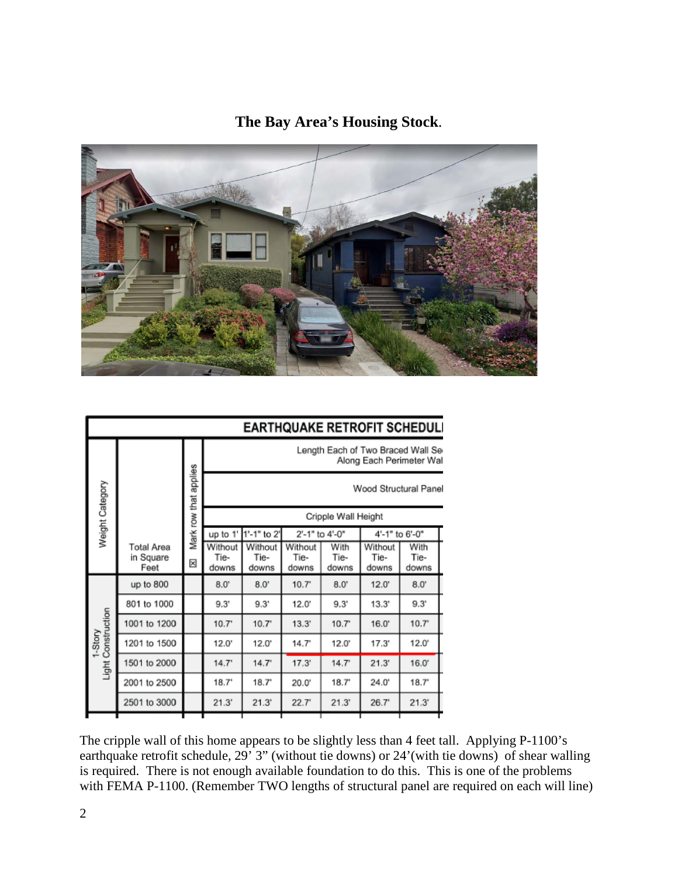## **The Bay Area's Housing Stock**.



| <b>EARTHQUAKE RETROFIT SCHEDULI</b> |                                 |                       |                          |                          |                          |                       |                                                               |                       |  |
|-------------------------------------|---------------------------------|-----------------------|--------------------------|--------------------------|--------------------------|-----------------------|---------------------------------------------------------------|-----------------------|--|
|                                     |                                 |                       |                          |                          |                          |                       | Length Each of Two Braced Wall Se<br>Along Each Perimeter Wal |                       |  |
| Weight Category                     |                                 | Mark row that applies |                          |                          |                          |                       | Wood Structural Panel                                         |                       |  |
|                                     |                                 |                       |                          |                          |                          | Cripple Wall Height   |                                                               |                       |  |
|                                     |                                 |                       | up to 1'                 | 1'-1" to 2'              |                          | 2'-1" to 4'-0"        | 4'-1" to 6'-0"                                                |                       |  |
|                                     | Total Area<br>in Square<br>Feet | ⊠                     | Without<br>Tie-<br>downs | Without<br>Tie-<br>downs | Without<br>Tie-<br>downs | With<br>Tie-<br>downs | Without<br>Tie-<br>downs                                      | With<br>Tie-<br>downs |  |
|                                     | up to 800                       |                       | 8.0'                     | $8.0^{\circ}$            | 10.7 <sup>°</sup>        | $8.0^{\circ}$         | 12.0'                                                         | $8.0^\circ$           |  |
|                                     | 801 to 1000                     |                       | 9.3'                     | 9.3'                     | $12.0^{\circ}$           | 9.3'                  | 13.3'                                                         | 9.3'                  |  |
|                                     | 1001 to 1200                    |                       | $10.7^{\circ}$           | $10.7^{\circ}$           | 13.3'                    | 10.7 <sup>°</sup>     | 16.0'                                                         | 10.7'                 |  |
| 1-Story                             | 1201 to 1500                    |                       | 12.0'                    | $12.0^{\circ}$           | 14.7"                    | $12.0^{\circ}$        | 17.3'                                                         | 12.0'                 |  |
| Light Construction                  | 1501 to 2000                    |                       | 14.7'                    | 14.7'                    | 17.3'                    | 14.7'                 | 21.3'                                                         | 16.0'                 |  |
|                                     | 2001 to 2500                    |                       | 18.7'                    | 18.7                     | 20.0'                    | $18.7^{\circ}$        | 24.0'                                                         | $18.7^{\circ}$        |  |
|                                     | 2501 to 3000                    |                       | 21.3'                    | 21.3'                    | 22.7'                    | 21.3'                 | 26.7'                                                         | 21.3'                 |  |
|                                     |                                 |                       |                          |                          |                          |                       |                                                               |                       |  |

The cripple wall of this home appears to be slightly less than 4 feet tall. Applying P-1100's earthquake retrofit schedule, 29' 3" (without tie downs) or 24'(with tie downs) of shear walling is required. There is not enough available foundation to do this. This is one of the problems with FEMA P-1100. (Remember TWO lengths of structural panel are required on each will line)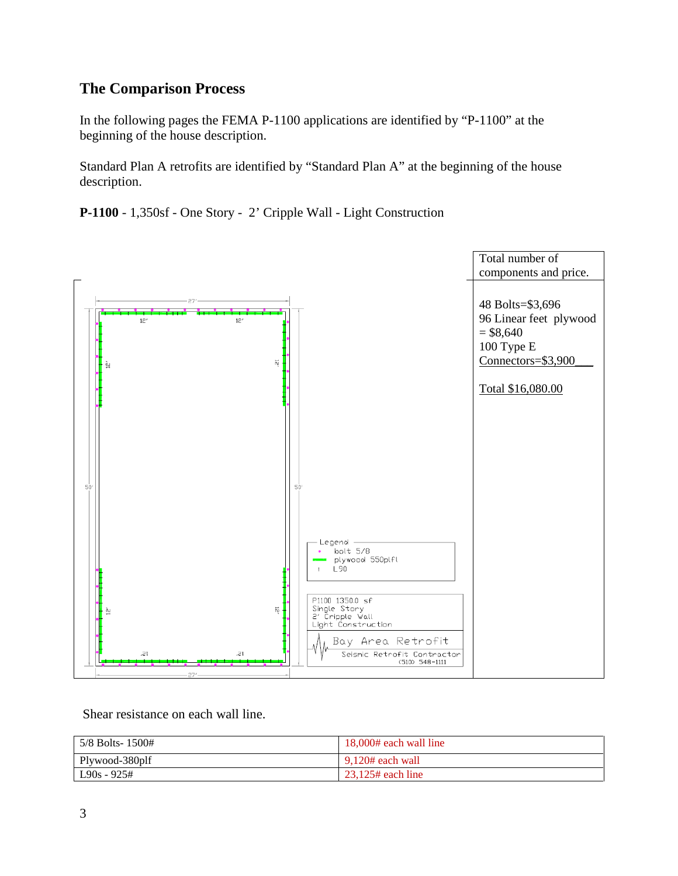## **The Comparison Process**

In the following pages the FEMA P-1100 applications are identified by "P-1100" at the beginning of the house description.

Standard Plan A retrofits are identified by "Standard Plan A" at the beginning of the house description.

**P-1100** - 1,350sf - One Story - 2' Cripple Wall - Light Construction



Shear resistance on each wall line.

| $\frac{5}{8}$ Bolts- 1500# | 18,000# each wall line |
|----------------------------|------------------------|
| Plywood-380plf             | 9.120# each wall       |
| $L90s - 925#$              | $23.125$ # each line   |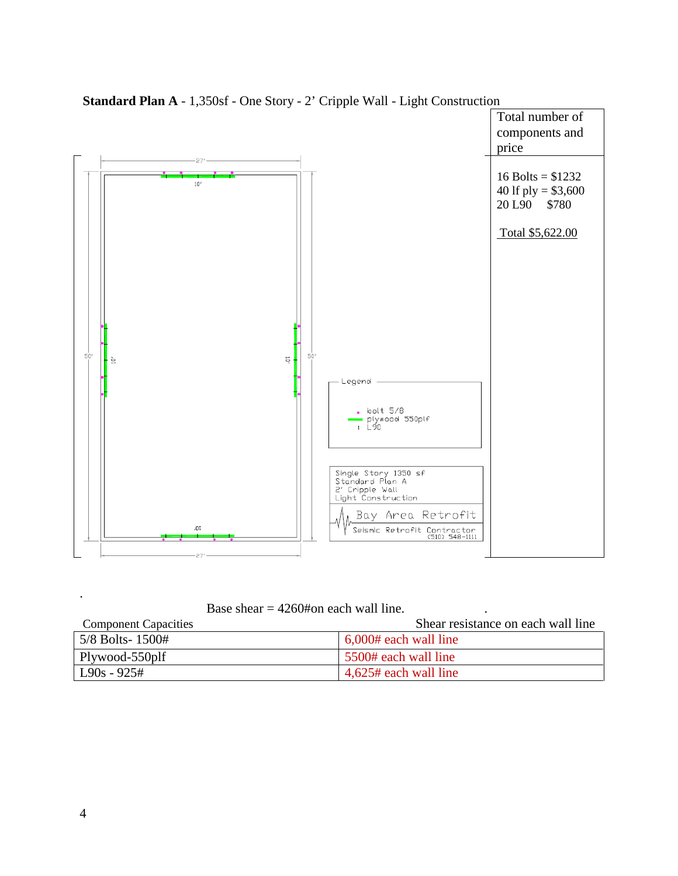

**Standard Plan A** - 1,350sf - One Story - 2' Cripple Wall - Light Construction

Base shear  $= 4260$ #on each wall line.

| <b>Component Capacities</b> | Shear resistance on each wall line |
|-----------------------------|------------------------------------|
| $5/8$ Bolts- $1500#$        | $6,000#$ each wall line            |
| Plywood-550plf              | 5500# each wall line               |
| $L90s - 925#$               | $4,625$ # each wall line           |

.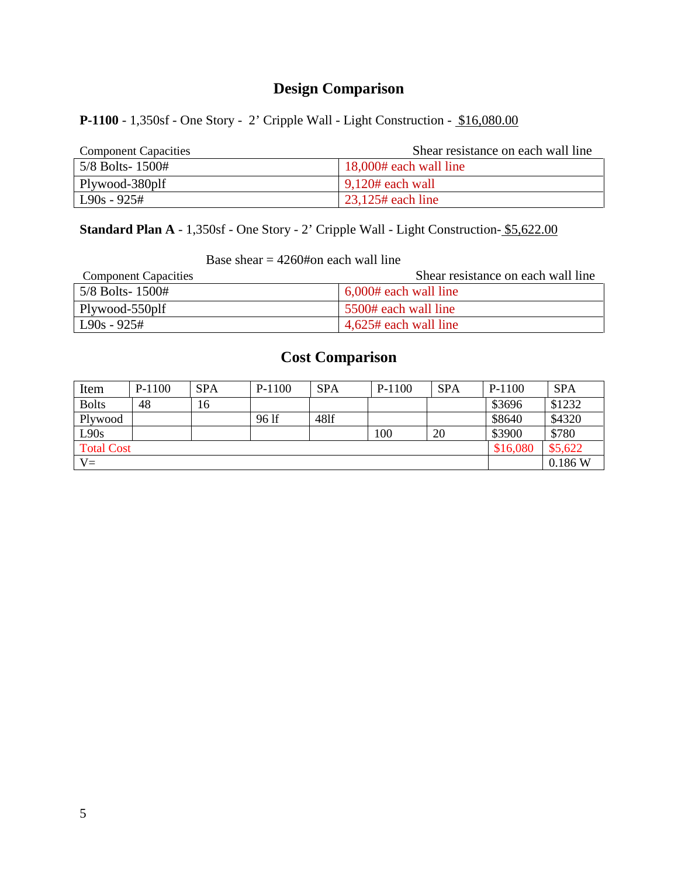## **P-1100** - 1,350sf - One Story - 2' Cripple Wall - Light Construction - \$16,080.00

| <b>Component Capacities</b> | Shear resistance on each wall line    |
|-----------------------------|---------------------------------------|
| $\frac{5}{8}$ Bolts- 1500#  | 18,000# each wall line                |
| Plywood-380plf              | $\frac{9,120#}{2}$ each wall          |
| $\log 925#$                 | $\frac{23.125 \text{# each line}}{2}$ |

Standard Plan A - 1,350sf - One Story - 2' Cripple Wall - Light Construction- \$5,622.00

Base shear  $= 4260$ #on each wall line

| <b>Component Capacities</b> | Shear resistance on each wall line |
|-----------------------------|------------------------------------|
| $5/8$ Bolts- $1500#$        | $6,000#$ each wall line            |
| Plywood-550plf              | 5500# each wall line               |
| $L90s - 925#$               | $4,625$ # each wall line           |

| Item              | P-1100 | <b>SPA</b> | $P-1100$ | <b>SPA</b> | P-1100 | <b>SPA</b> | $P-1100$ | <b>SPA</b> |
|-------------------|--------|------------|----------|------------|--------|------------|----------|------------|
| <b>Bolts</b>      | 48     | 16         |          |            |        |            | \$3696   | \$1232     |
| Plywood           |        |            | 96 lf    | 481f       |        |            | \$8640   | \$4320     |
| L90s              |        |            |          |            | 100    | 20         | \$3900   | \$780      |
| <b>Total Cost</b> |        |            |          |            |        |            | \$16,080 | \$5,622    |
| $V =$             |        |            |          |            |        |            |          | 0.186 W    |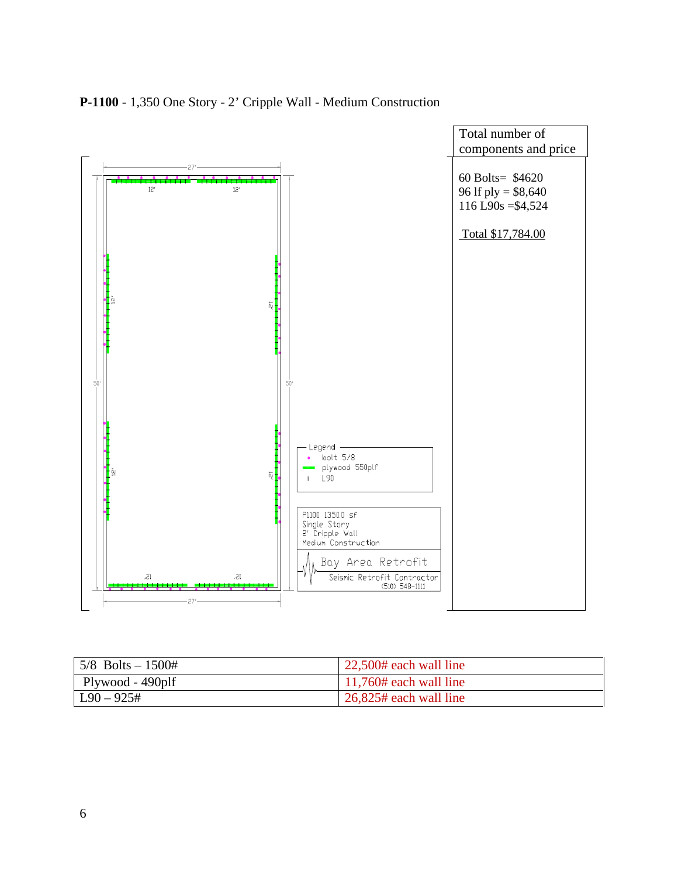

### **P-1100** - 1,350 One Story - 2' Cripple Wall - Medium Construction

| $\frac{5}{8}$ Bolts - 1500# | 22,500# each wall line              |
|-----------------------------|-------------------------------------|
| Plywood - 490plf            | $11,760#$ each wall line            |
| $\vert$ L90 – 925#          | $\frac{1}{26,825\#}$ each wall line |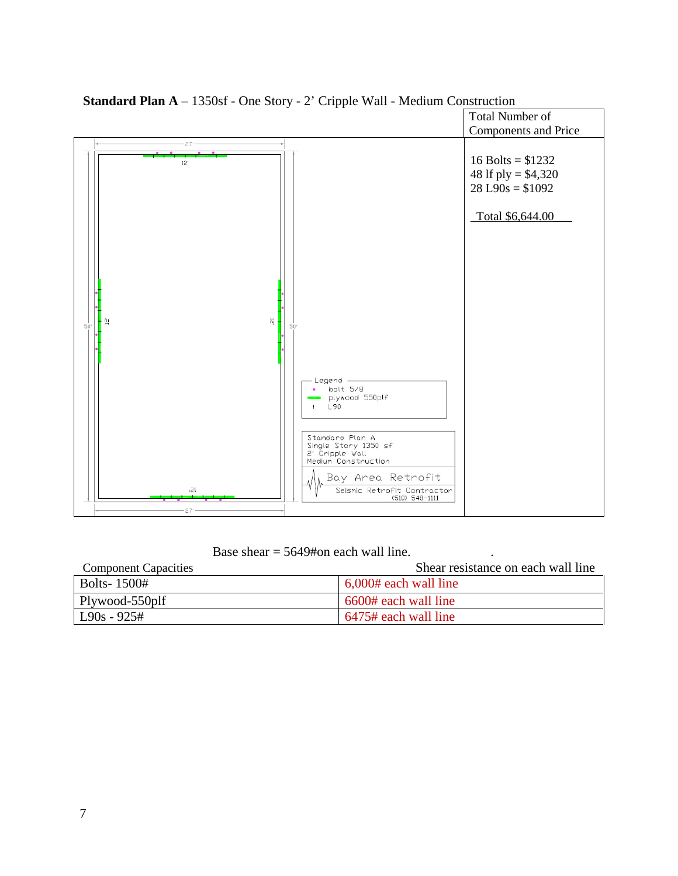

**Standard Plan A** – 1350sf - One Story - 2' Cripple Wall - Medium Construction

Base shear  $= 5649#$ on each wall line.

| <b>Component Capacities</b> | Shear resistance on each wall line |
|-----------------------------|------------------------------------|
| Bolts-1500#                 | $6,000#$ each wall line            |
| Plywood-550plf              | 6600# each wall line               |
| $L90s - 925#$               | 6475# each wall line               |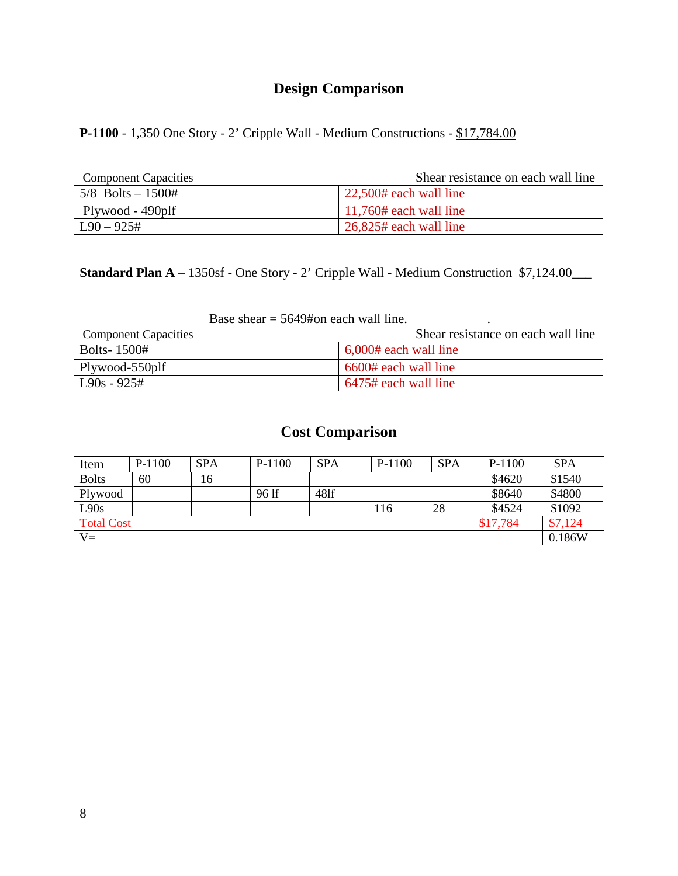**P-1100** - 1,350 One Story - 2' Cripple Wall - Medium Constructions - \$17,784.00

| <b>Component Capacities</b> | Shear resistance on each wall line  |
|-----------------------------|-------------------------------------|
| $5/8$ Bolts $-1500#$        | $\frac{22,500\#}{2}$ each wall line |
| Plywood - 490plf            | $\vert$ 11,760# each wall line      |
| $L90 - 925#$                | $26,825$ # each wall line           |

**Standard Plan A** – 1350sf - One Story - 2' Cripple Wall - Medium Construction \$7,124.00\_\_\_

| <b>Component Capacities</b> | Shear resistance on each wall line |
|-----------------------------|------------------------------------|
| <b>Bolts-1500#</b>          | $\mid 6,000#$ each wall line       |
| Plywood-550plf              | 6600# each wall line               |
| $L90s - 925#$               | 6475# each wall line               |

| Item              | P-1100 | <b>SPA</b> | $P-1100$ | <b>SPA</b> | $P-1100$ | <b>SPA</b> | $P-1100$ | <b>SPA</b> |
|-------------------|--------|------------|----------|------------|----------|------------|----------|------------|
| <b>Bolts</b>      | 60     | 16         |          |            |          |            | \$4620   | \$1540     |
| Plywood           |        |            | 96 lf    | 481f       |          |            | \$8640   | \$4800     |
| L90s              |        |            |          |            | 116      | 28         | \$4524   | \$1092     |
| <b>Total Cost</b> |        |            |          |            |          | \$17,784   | \$7,124  |            |
| $V =$             |        |            |          |            |          | 0.186W     |          |            |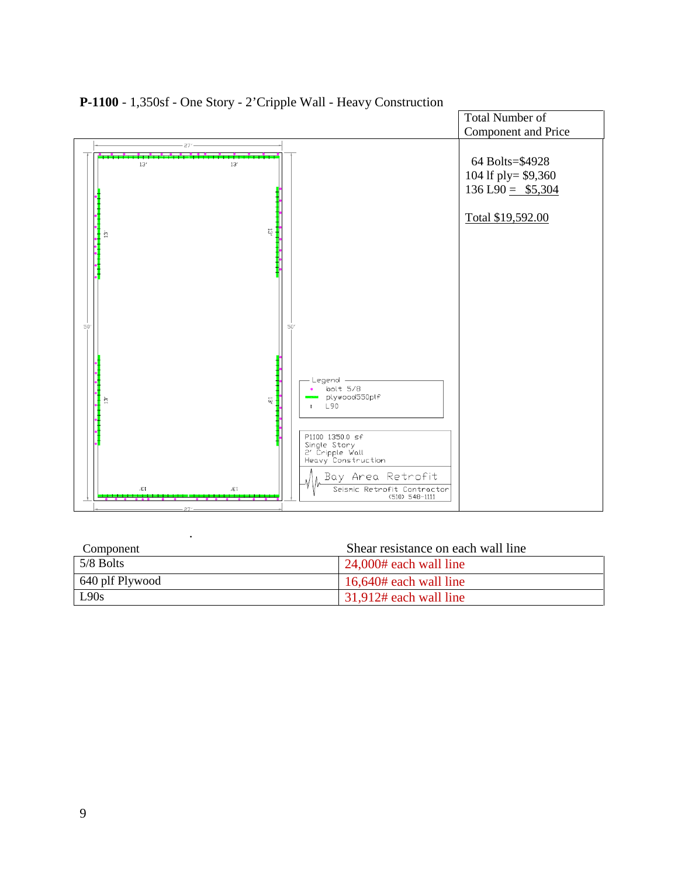

**P-1100** - 1,350sf - One Story - 2'Cripple Wall - Heavy Construction

| Component       | Shear resistance on each wall line |
|-----------------|------------------------------------|
| $5/8$ Bolts     | $\vert$ 24,000# each wall line     |
| 640 plf Plywood | $16,640#$ each wall line           |
| L90s            | $31,912#$ each wall line           |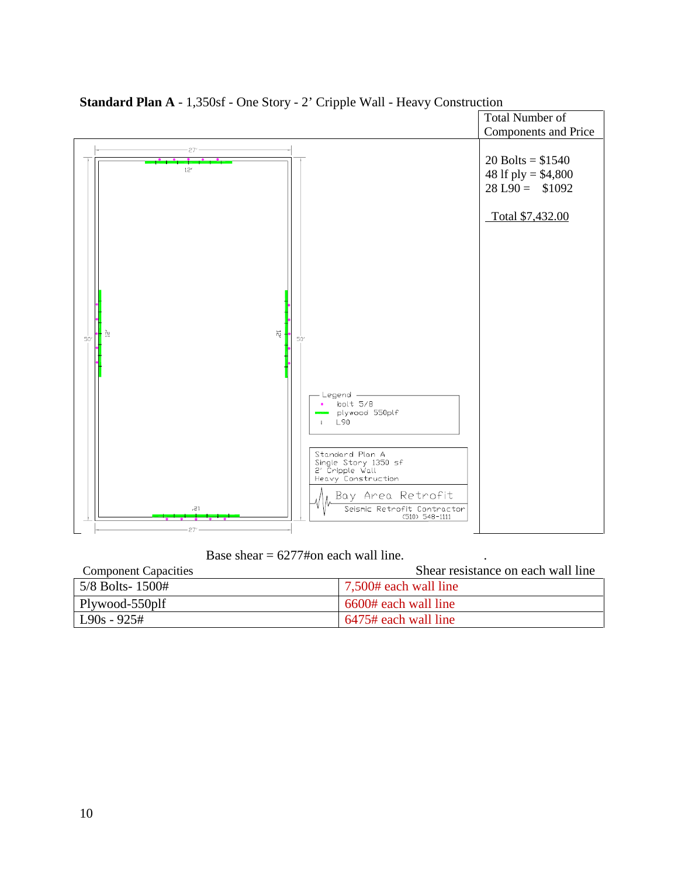

**Standard Plan A** - 1,350sf - One Story - 2' Cripple Wall - Heavy Construction

Base shear  $= 6277\text{\#}$ on each wall line.

| <b>Component Capacities</b> | Shear resistance on each wall line |
|-----------------------------|------------------------------------|
| 5/8 Bolts-1500#             | 7,500# each wall line              |
| Plywood-550plf              | 6600# each wall line               |
| $L90s - 925#$               | 6475# each wall line               |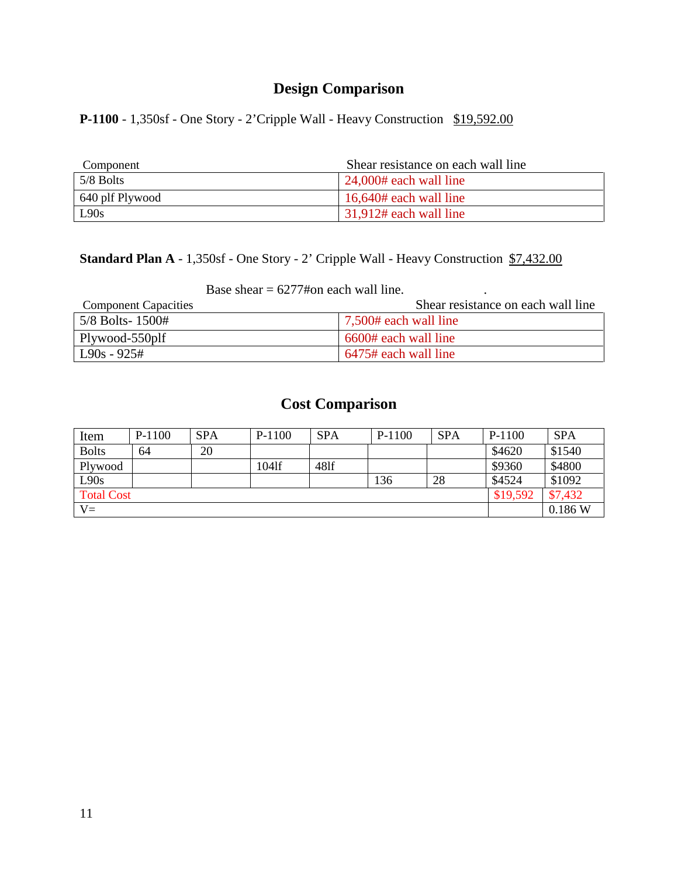**P-1100** - 1,350sf - One Story - 2'Cripple Wall - Heavy Construction \$19,592.00

| Component       | Shear resistance on each wall line |
|-----------------|------------------------------------|
| 5/8 Bolts       | $\vert$ 24,000# each wall line     |
| 640 plf Plywood | $16,640#$ each wall line           |
| L90s            | $\vert$ 31,912# each wall line     |

## **Standard Plan A** - 1,350sf - One Story - 2' Cripple Wall - Heavy Construction \$7,432.00

Base shear  $= 6277\text{#on}$  each wall line.

| <b>Component Capacities</b> | Shear resistance on each wall line |
|-----------------------------|------------------------------------|
| $5/8$ Bolts- $1500#$        | 7,500# each wall line              |
| Plywood-550plf              | 6600# each wall line               |
| $\log 925#$                 | 6475# each wall line               |

| Item              | $P-1100$ | <b>SPA</b> | $P-1100$ | <b>SPA</b> | $P-1100$ | <b>SPA</b> | $P-1100$ | <b>SPA</b> |
|-------------------|----------|------------|----------|------------|----------|------------|----------|------------|
| <b>Bolts</b>      | 64       | 20         |          |            |          |            | \$4620   | \$1540     |
| Plywood           |          |            | 1041f    | 481f       |          |            | \$9360   | \$4800     |
| L90s              |          |            |          |            | 136      | 28         | \$4524   | \$1092     |
| <b>Total Cost</b> |          |            |          |            |          |            | \$19,592 | \$7,432    |
| $V =$             |          |            |          |            |          |            |          | 0.186 W    |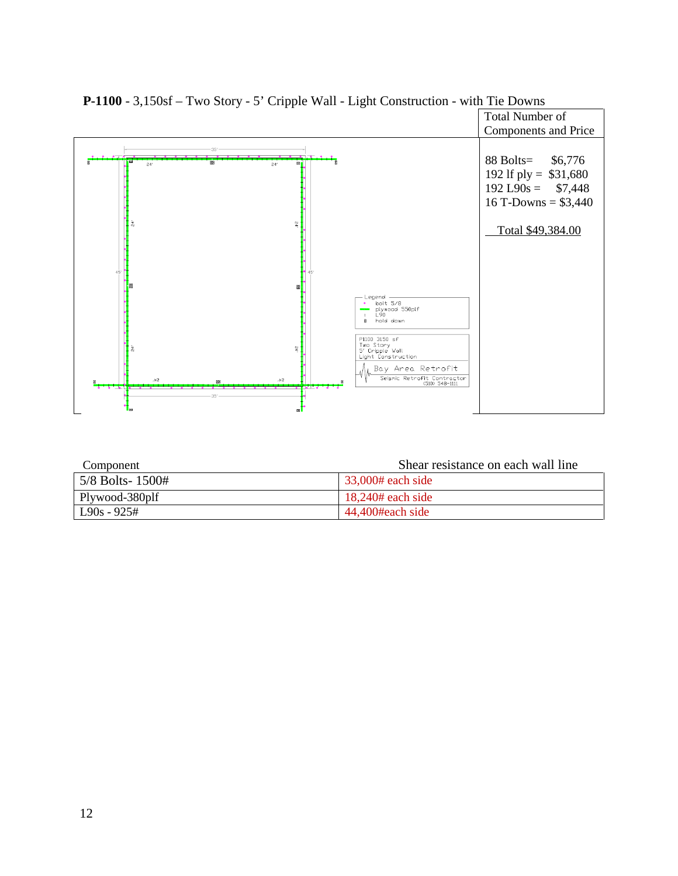

**P-1100** - 3,150sf – Two Story - 5' Cripple Wall - Light Construction - with Tie Downs

| Component            | Shear resistance on each wall line |
|----------------------|------------------------------------|
| $5/8$ Bolts- $1500#$ | $33,000#$ each side                |
| Plywood-380plf       | $18,240#$ each side                |
| $L90s - 925#$        | 44.400#each side                   |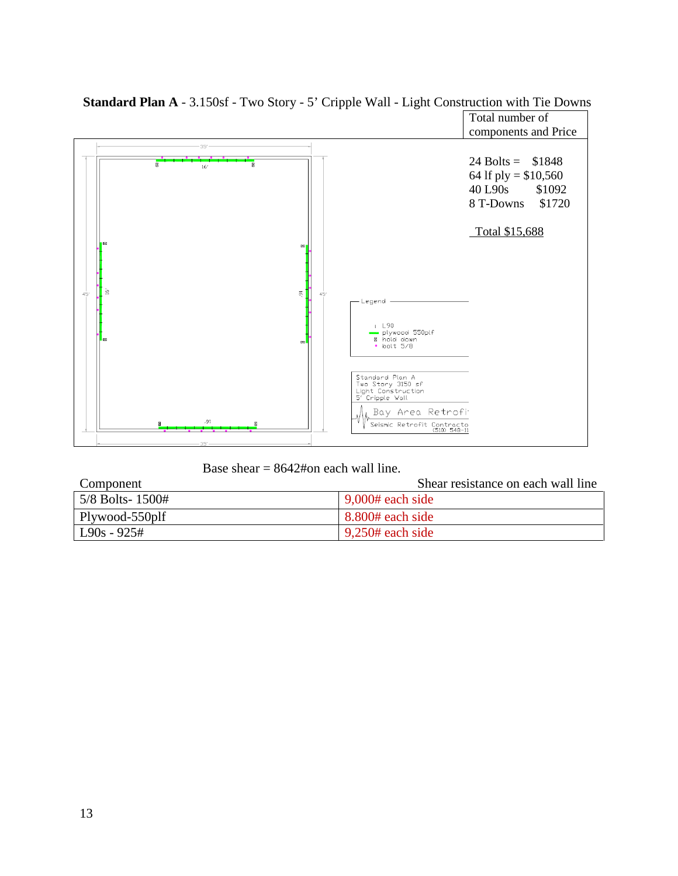

**Standard Plan A** - 3.150sf - Two Story - 5' Cripple Wall - Light Construction with Tie Downs

Base shear  $= 8642#$ on each wall line.

| Component        | Shear resistance on each wall line |
|------------------|------------------------------------|
| 5/8 Bolts- 1500# | $\frac{9,000#}{2}$ each side       |
| Plywood-550plf   | $\frac{1}{2}$ 8.800# each side     |
| $L90s - 925#$    | $9,250#$ each side                 |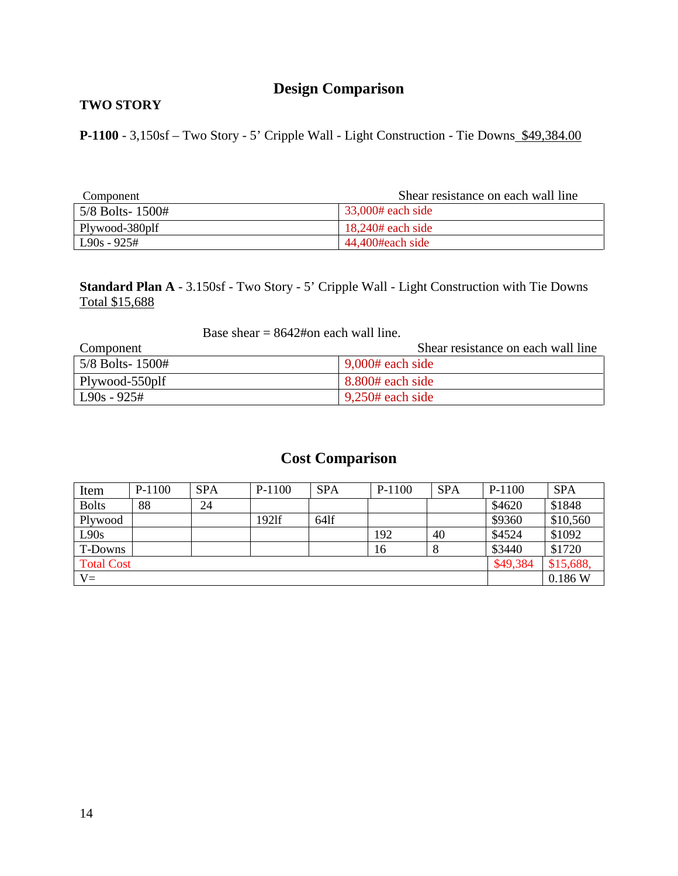#### **TWO STORY**

**P-1100** - 3,150sf – Two Story - 5' Cripple Wall - Light Construction - Tie Downs \$49,384.00

| Component        | Shear resistance on each wall line |
|------------------|------------------------------------|
| 5/8 Bolts- 1500# | $\frac{33,000#}{2}$ each side      |
| Plywood-380plf   | $18,240#$ each side                |
| $L90s - 925#$    | 44.400#each side                   |

**Standard Plan A** - 3.150sf - Two Story - 5' Cripple Wall - Light Construction with Tie Downs Total \$15,688

#### Base shear  $= 8642$ #on each wall line.

| Component          | Shear resistance on each wall line |
|--------------------|------------------------------------|
| $5/8$ Bolts- 1500# | $9,000#$ each side                 |
| Plywood-550plf     | $8.800#$ each side                 |
| $L90s - 925#$      | $9,250#$ each side                 |

| Item              | P-1100 | <b>SPA</b> | P-1100 | <b>SPA</b> | $P-1100$ | <b>SPA</b> | P-1100   | <b>SPA</b> |
|-------------------|--------|------------|--------|------------|----------|------------|----------|------------|
| <b>Bolts</b>      | 88     | 24         |        |            |          |            | \$4620   | \$1848     |
| Plywood           |        |            | 1921f  | $64$ lf    |          |            | \$9360   | \$10,560   |
| L90s              |        |            |        |            | 192      | 40         | \$4524   | \$1092     |
| T-Downs           |        |            |        |            | 16       |            | \$3440   | \$1720     |
| <b>Total Cost</b> |        |            |        |            |          |            | \$49,384 | \$15,688,  |
| $V =$             |        |            |        |            |          |            |          | 0.186 W    |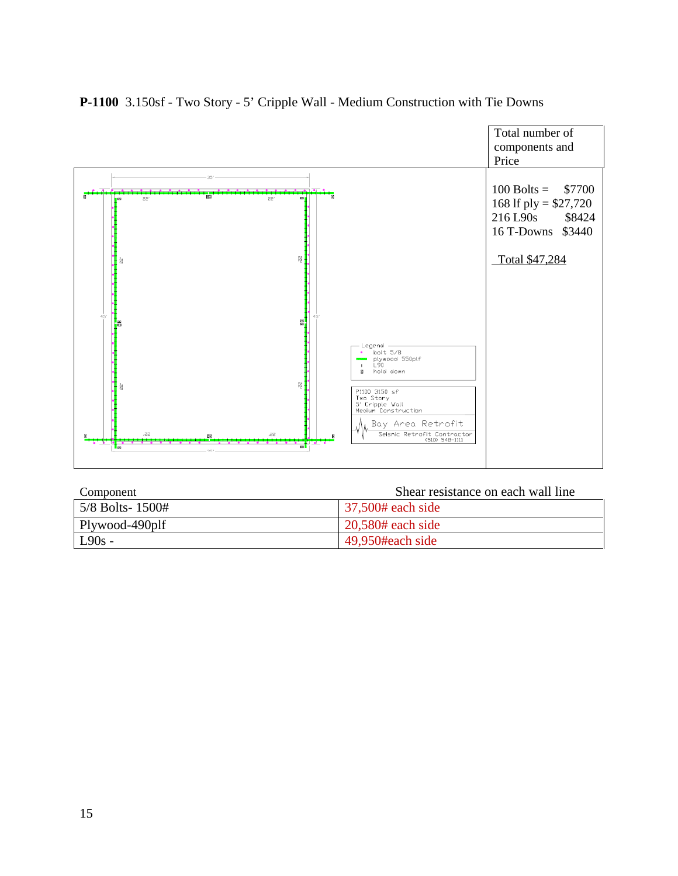

#### **P-1100** 3.150sf - Two Story - 5' Cripple Wall - Medium Construction with Tie Downs

| Component       | Shear resistance on each wall line |
|-----------------|------------------------------------|
| 5/8 Bolts-1500# | 37,500# each side                  |
| Plywood-490plf  | $20,580#$ each side                |
| $L90s -$        | 49.950#each side                   |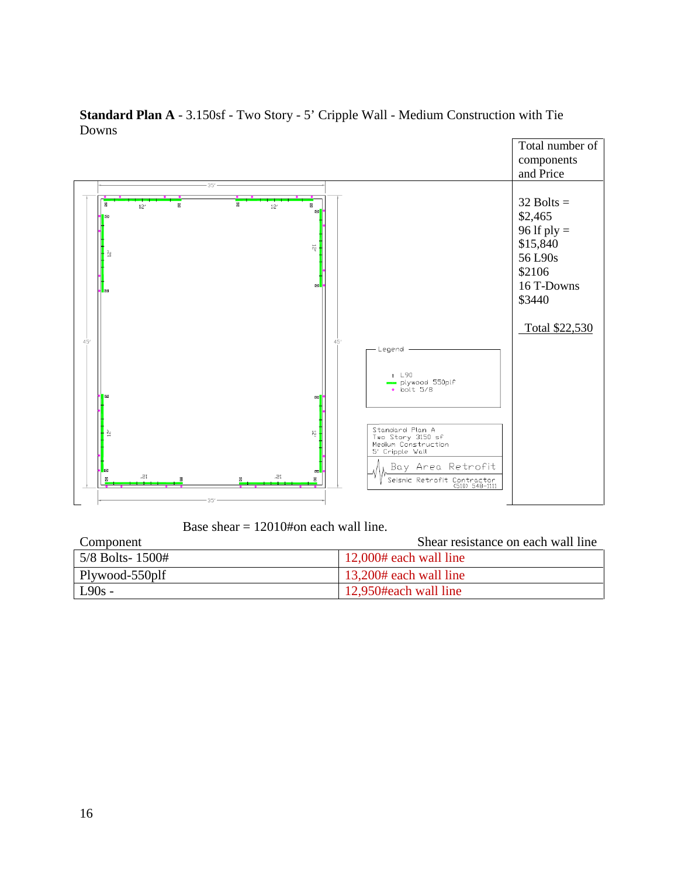

**Standard Plan A** - 3.150sf - Two Story - 5' Cripple Wall - Medium Construction with Tie Downs

Base shear = 12010#on each wall line.

| Component          | Shear resistance on each wall line |
|--------------------|------------------------------------|
| $5/8$ Bolts- 1500# | $\mid$ 12,000# each wall line      |
| Plywood-550plf     | 13,200# each wall line             |
| $L90s -$           | 12,950#each wall line              |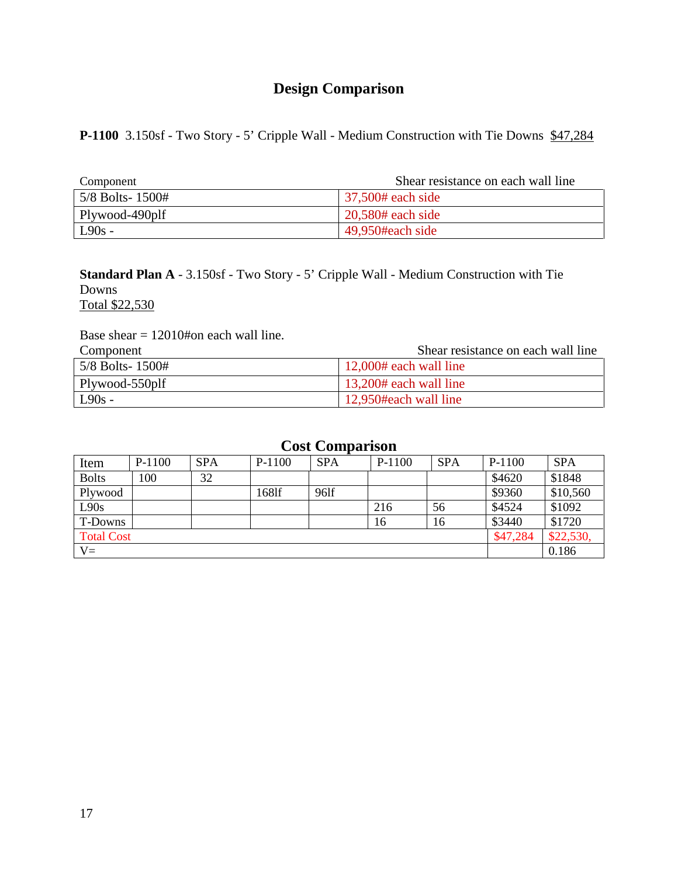**P-1100** 3.150sf - Two Story - 5' Cripple Wall - Medium Construction with Tie Downs \$47,284

| Component        | Shear resistance on each wall line   |
|------------------|--------------------------------------|
| 5/8 Bolts- 1500# | $\frac{37,500\text{# each side}}{2}$ |
| Plywood-490plf   | $20,580#$ each side                  |
| $L90s -$         | 49,950#each side                     |

**Standard Plan A** - 3.150sf - Two Story - 5' Cripple Wall - Medium Construction with Tie Downs Total \$22,530

Base shear  $= 12010$ #on each wall line.

| Component       | Shear resistance on each wall line |
|-----------------|------------------------------------|
| 5/8 Bolts-1500# | $\mid$ 12,000# each wall line      |
| Plywood-550plf  | 13,200# each wall line             |
| $L90s -$        | 12,950#each wall line              |

| Item              | P-1100 | <b>SPA</b> | P-1100 | <b>SPA</b> | $P-1100$ | <b>SPA</b> | $P-1100$ | <b>SPA</b> |
|-------------------|--------|------------|--------|------------|----------|------------|----------|------------|
| <b>Bolts</b>      | 100    | 32         |        |            |          |            | \$4620   | \$1848     |
| Plywood           |        |            | 168lf  | 96lf       |          |            | \$9360   | \$10,560   |
| L90s              |        |            |        |            | 216      | 56         | \$4524   | \$1092     |
| T-Downs           |        |            |        |            | 16       | 16         | \$3440   | \$1720     |
| <b>Total Cost</b> |        |            |        |            |          |            | \$47,284 | \$22,530,  |
| $V =$             |        |            |        |            |          |            |          | 0.186      |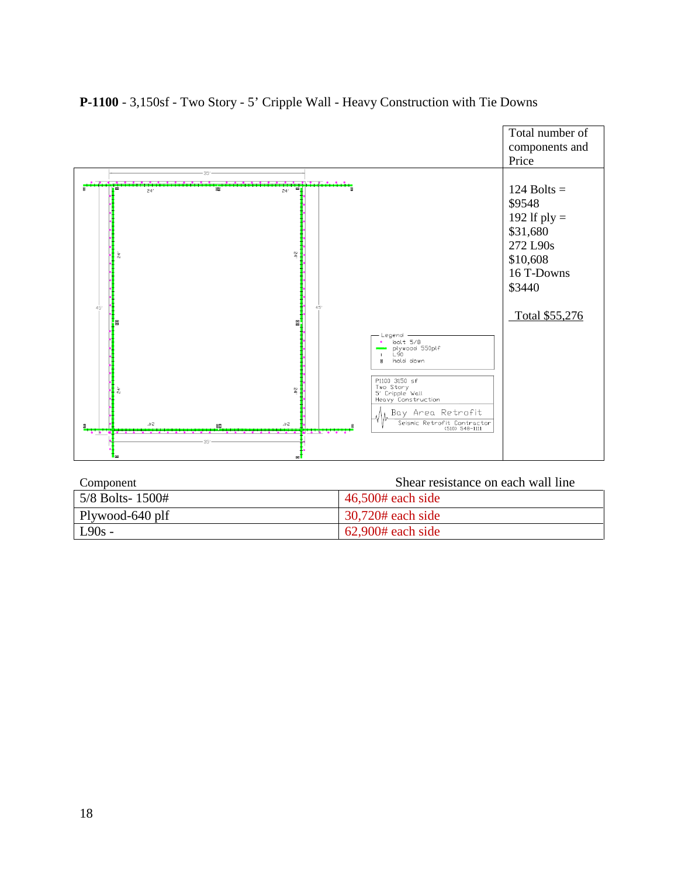

#### **P-1100** - 3,150sf - Two Story - 5' Cripple Wall - Heavy Construction with Tie Downs

| Component          | Shear resistance on each wall line |
|--------------------|------------------------------------|
| $5/8$ Bolts- 1500# | $46,500#$ each side                |
| Plywood-640 plf    | $30,720#$ each side                |
| $L90s -$           | $62,900#$ each side                |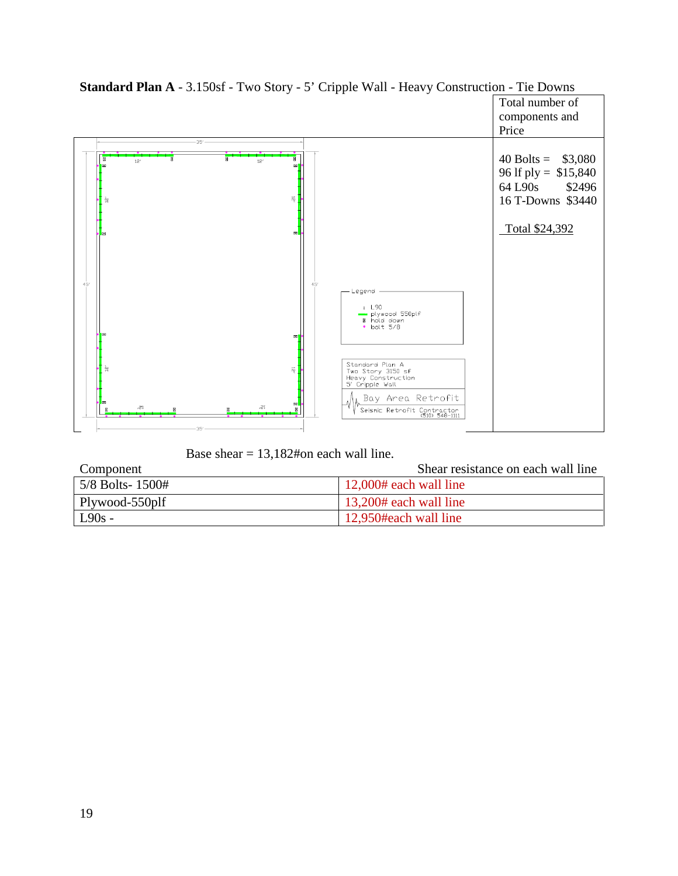

## **Standard Plan A** - 3.150sf - Two Story - 5' Cripple Wall - Heavy Construction - Tie Downs

Base shear = 13,182#on each wall line.

| Component              | Shear resistance on each wall line |
|------------------------|------------------------------------|
| $5/8$ Bolts- $1500#$   | $12,000#$ each wall line           |
| $\vert$ Plywood-550plf | 13,200# each wall line             |
| $L90s -$               | 12,950#each wall line              |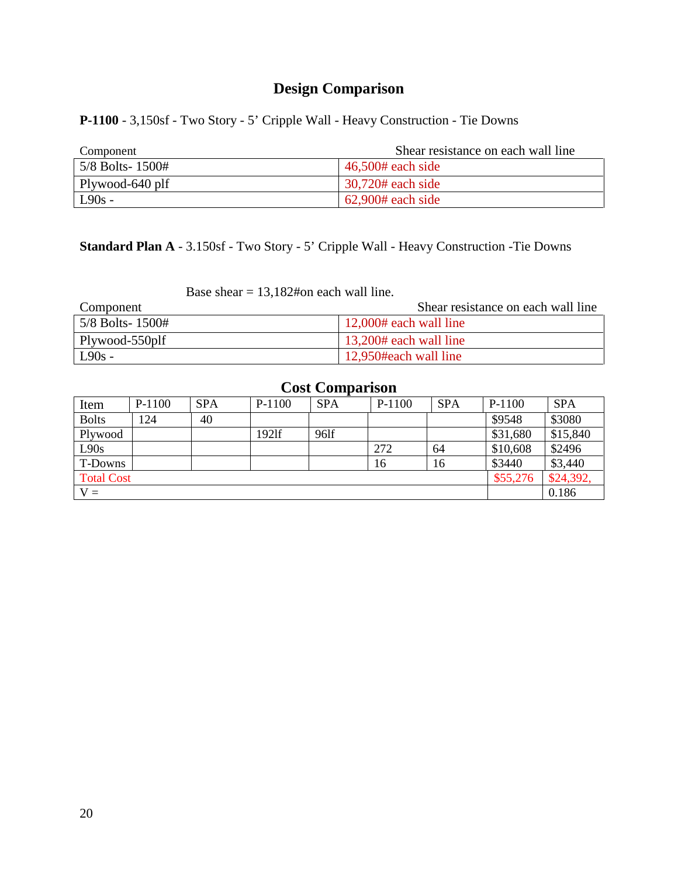**P-1100** - 3,150sf - Two Story - 5' Cripple Wall - Heavy Construction - Tie Downs

| Component       | Shear resistance on each wall line |
|-----------------|------------------------------------|
| 5/8 Bolts-1500# | $\vert$ 46,500# each side          |
| Plywood-640 plf | $\frac{1}{20}$ ,720# each side     |
| $L90s -$        | $62,900#$ each side                |

# **Standard Plan A** - 3.150sf - Two Story - 5' Cripple Wall - Heavy Construction -Tie Downs

Base shear  $= 13,182$ #on each wall line.

| Component          | Shear resistance on each wall line |
|--------------------|------------------------------------|
| $5/8$ Bolts- 1500# | $12,000#$ each wall line           |
| Plywood-550plf     | $13,200#$ each wall line           |
| $L90s -$           | 12,950#each wall line              |

| Item              | $P-1100$ | <b>SPA</b> | $P-1100$ | <b>SPA</b> | $P-1100$ | <b>SPA</b> | P-1100   | <b>SPA</b> |
|-------------------|----------|------------|----------|------------|----------|------------|----------|------------|
| <b>Bolts</b>      | 124      | 40         |          |            |          |            | \$9548   | \$3080     |
| Plywood           |          |            | 1921f    | 961f       |          |            | \$31,680 | \$15,840   |
| L90s              |          |            |          |            | 272      | 64         | \$10,608 | \$2496     |
| T-Downs           |          |            |          |            | 16       | 16         | \$3440   | \$3,440    |
| <b>Total Cost</b> |          |            |          |            |          |            | \$55,276 | \$24,392,  |
| ${\rm V} =$       |          |            |          |            |          |            |          | 0.186      |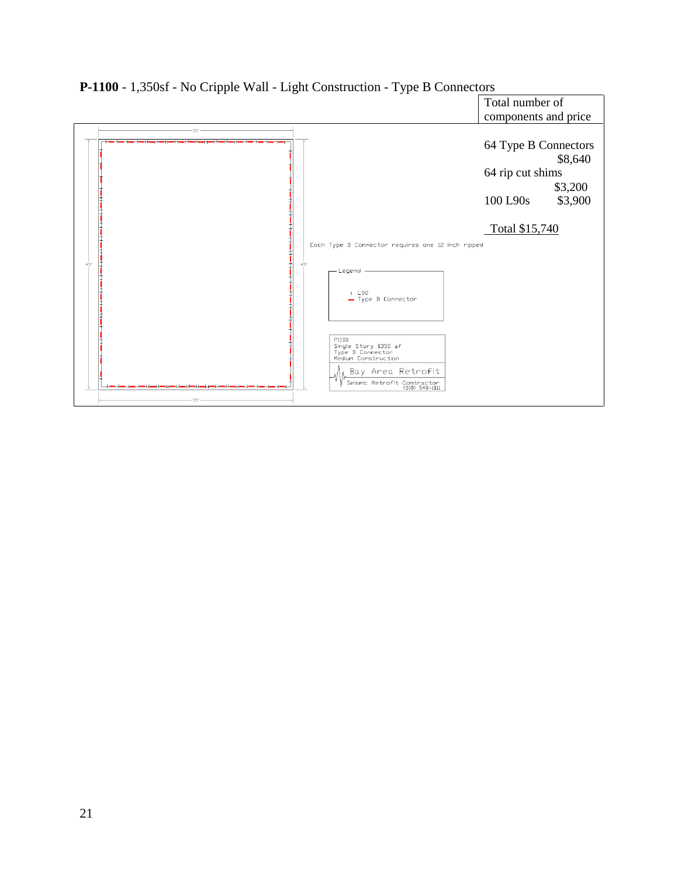

**P-1100** - 1,350sf - No Cripple Wall - Light Construction - Type B Connectors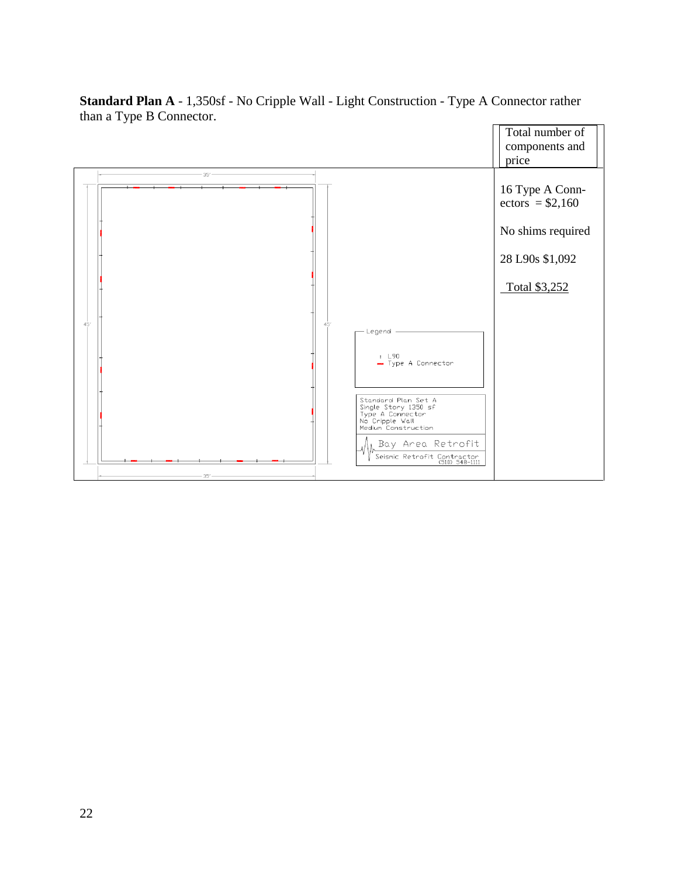

**Standard Plan A** - 1,350sf - No Cripple Wall - Light Construction - Type A Connector rather than a Type B Connector.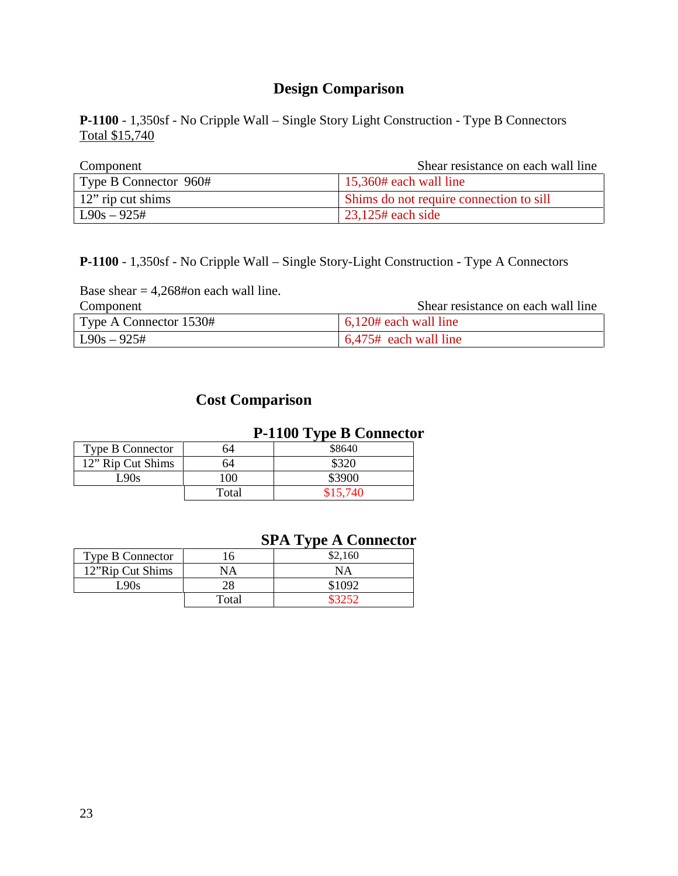**P-1100** - 1,350sf - No Cripple Wall – Single Story Light Construction - Type B Connectors Total \$15,740

| Component             | Shear resistance on each wall line      |
|-----------------------|-----------------------------------------|
| Type B Connector 960# | $\vert$ 15,360# each wall line          |
| 12" rip cut shims     | Shims do not require connection to sill |
| $L90s - 925#$         | $23,125$ # each side                    |

**P-1100** - 1,350sf - No Cripple Wall – Single Story-Light Construction - Type A Connectors

Base shear  $= 4,268#$ on each wall line.

| Component              | Shear resistance on each wall line |
|------------------------|------------------------------------|
| Type A Connector 1530# | $6,120#$ each wall line            |
| $\vert$ L90s – 925#    | $6,475$ # each wall line           |

## **Cost Comparison**

## **P-1100 Type B Connector**

| <b>Type B Connector</b> | 54    | \$8640   |
|-------------------------|-------|----------|
| 12" Rip Cut Shims       | 64    | \$320    |
| L90s                    | 100   | \$3900   |
|                         | Total | \$15.740 |

## **SPA Type A Connector**

| <b>Type B Connector</b> | 16    | \$2.160   |
|-------------------------|-------|-----------|
| 12"Rip Cut Shims        | NА    | <b>NA</b> |
| L90s                    | 28    | \$1092    |
|                         | Total |           |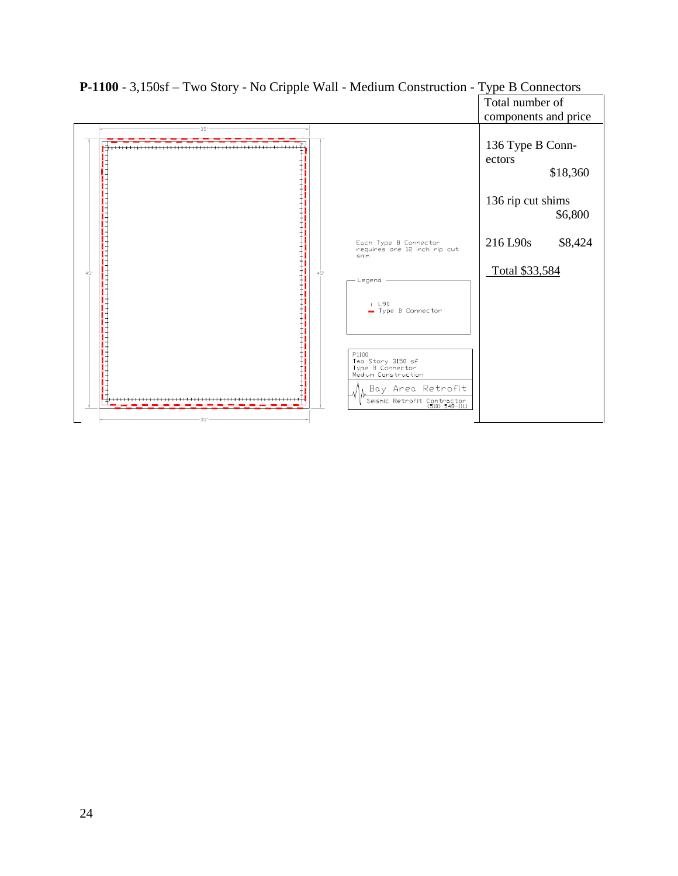

**P-1100** - 3,150sf – Two Story - No Cripple Wall - Medium Construction - Type B Connectors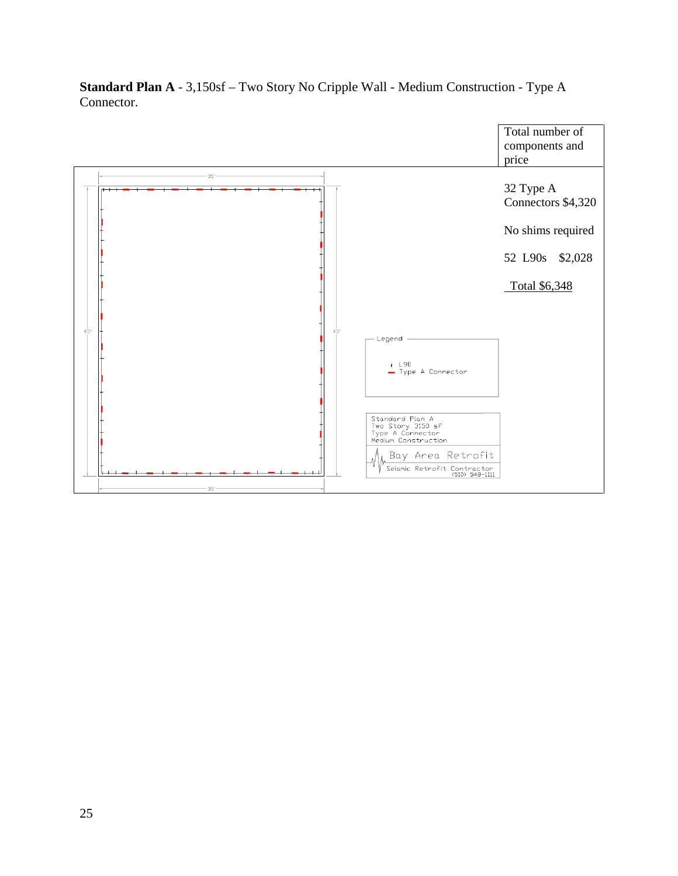

**Standard Plan A** - 3,150sf – Two Story No Cripple Wall - Medium Construction - Type A Connector.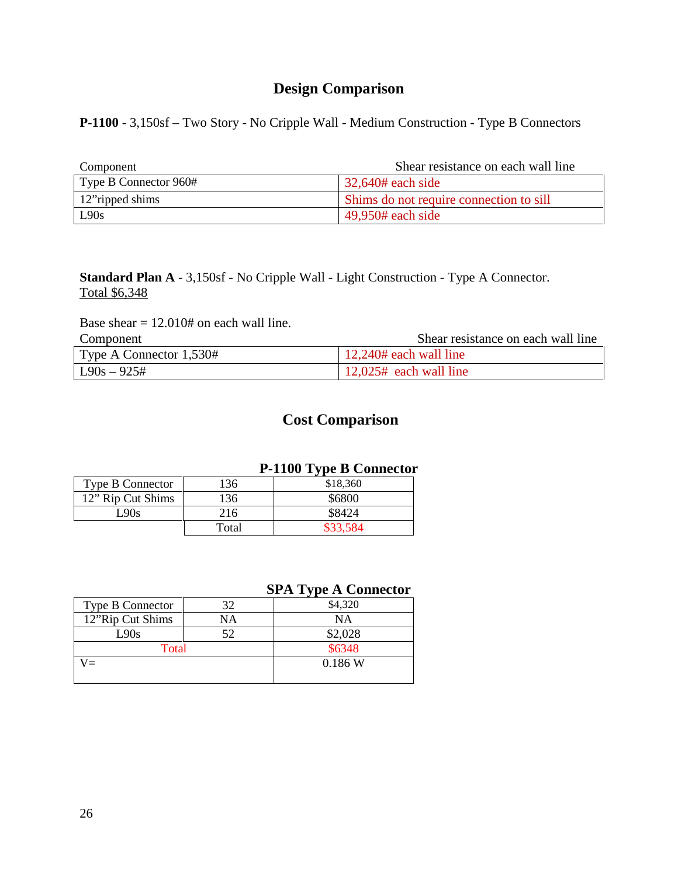**P-1100** - 3,150sf – Two Story - No Cripple Wall - Medium Construction - Type B Connectors

| Component             | Shear resistance on each wall line      |
|-----------------------|-----------------------------------------|
| Type B Connector 960# | $\frac{32,640#}{2}$ each side           |
| 12" ripped shims      | Shims do not require connection to sill |
| L90s                  | $49,950#$ each side                     |

**Standard Plan A** - 3,150sf - No Cripple Wall - Light Construction - Type A Connector. Total \$6,348

Base shear  $= 12.010#$  on each wall line.

| Component               | Shear resistance on each wall line |
|-------------------------|------------------------------------|
| Type A Connector 1,530# | $\vert$ 12,240# each wall line     |
| $\vert$ L90s – 925#     | $12,025$ # each wall line          |

## **Cost Comparison**

#### **P-1100 Type B Connector**

| <b>Type B Connector</b> | 136   | \$18,360 |
|-------------------------|-------|----------|
| 12" Rip Cut Shims       | 136   | \$6800   |
| L90s                    | 216   | \$8424   |
|                         | Total |          |

#### **SPA Type A Connector**

| <b>Type B Connector</b> | 32 | \$4,320 |
|-------------------------|----|---------|
| 12"Rip Cut Shims        | NΑ | ΝA      |
| L90s                    | 52 | \$2,028 |
| Total                   |    | \$6348  |
|                         |    | 0.186 W |
|                         |    |         |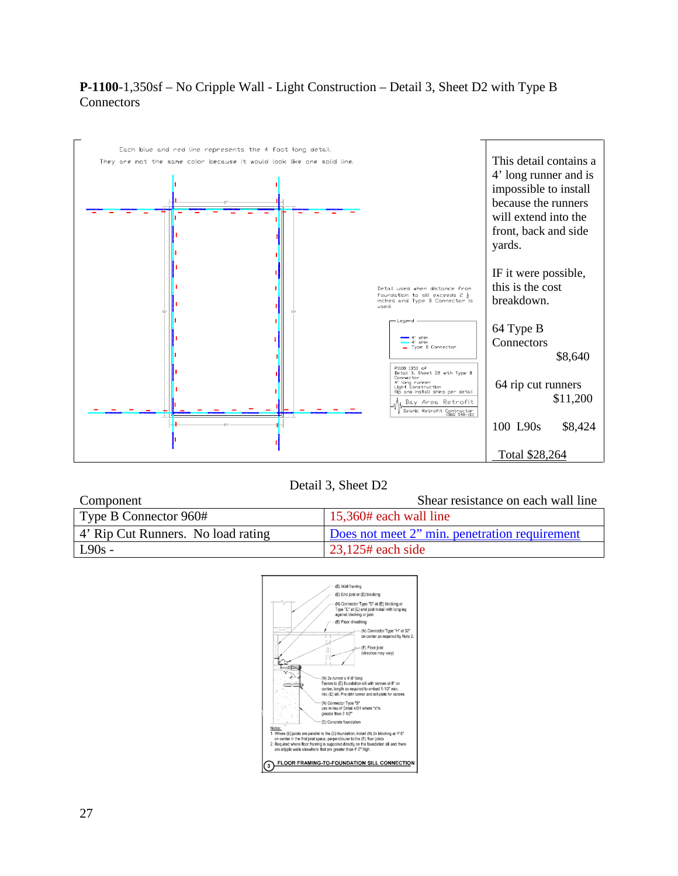### **P-1100**-1,350sf – No Cripple Wall - Light Construction – Detail 3, Sheet D2 with Type B **Connectors**



Detail 3, Sheet D2

| Component                          | Shear resistance on each wall line            |
|------------------------------------|-----------------------------------------------|
| Type B Connector 960#              | $15,360#$ each wall line                      |
| 4' Rip Cut Runners. No load rating | Does not meet 2" min. penetration requirement |
| $L90s -$                           | $\frac{23.125\#}{2}$ each side                |

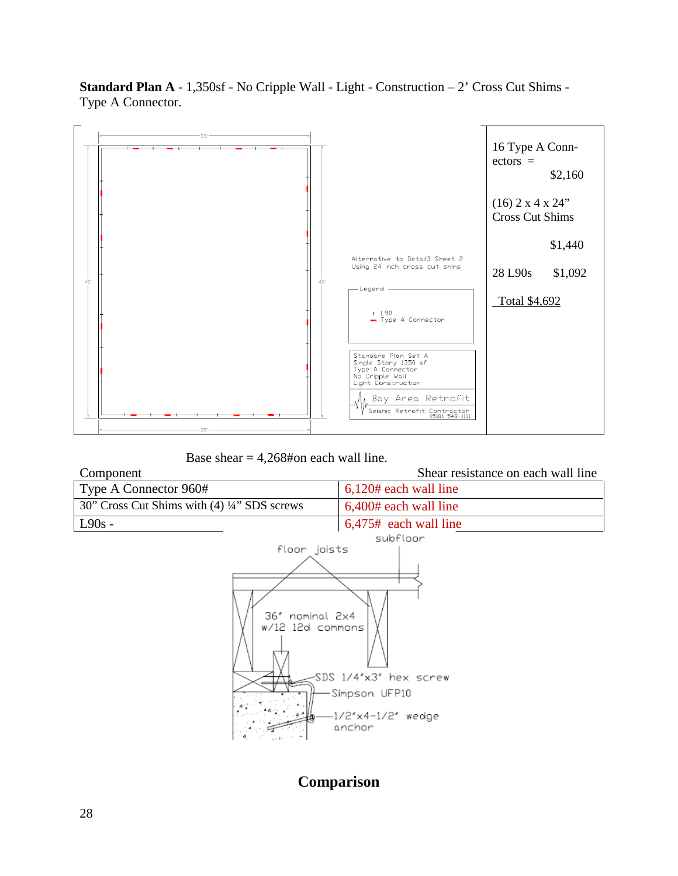**Standard Plan A** - 1,350sf - No Cripple Wall - Light - Construction – 2' Cross Cut Shims - Type A Connector.



Base shear  $= 4,268#$ on each wall line.

| Component                                    | Shear resistance on each wall line |
|----------------------------------------------|------------------------------------|
| Type A Connector 960#                        | $6,120#$ each wall line            |
| 30" Cross Cut Shims with (4) 1/4" SDS screws | 6,400# each wall line              |
| $L90s -$                                     | $6,475$ # each wall line           |
|                                              | subfloor                           |
| floor joists                                 |                                    |
| 36" nominal 2x4<br>w/12 12d commons          | SDS 1/4'x3' hex screw              |
|                                              | — Simpson UFP10                    |

# **Comparison**

anchor

1/2"x4-1/2" wedge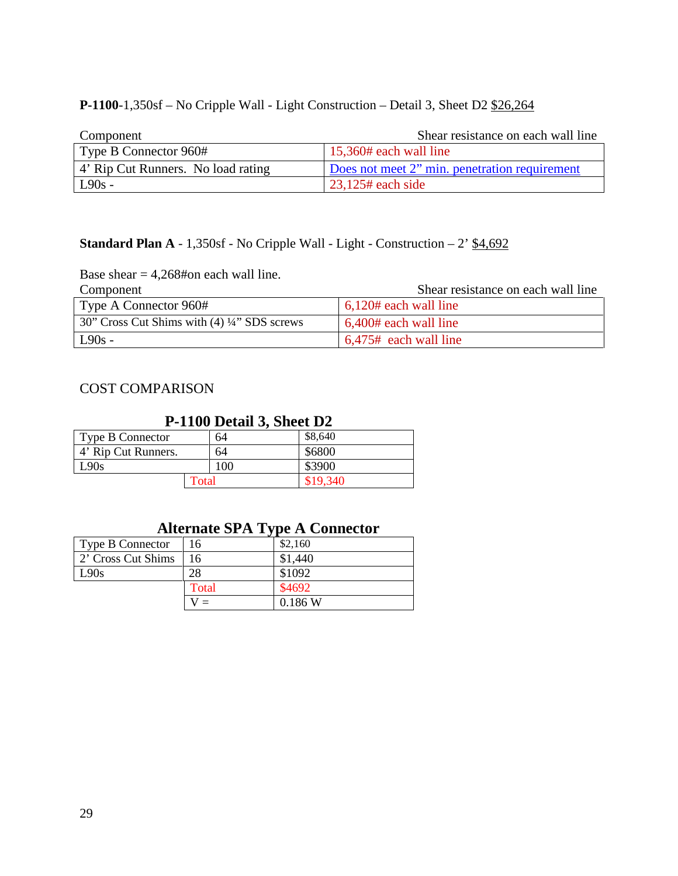### **P-1100**-1,350sf – No Cripple Wall - Light Construction – Detail 3, Sheet D2 \$26,264

| Component                          | Shear resistance on each wall line            |
|------------------------------------|-----------------------------------------------|
| Type B Connector 960#              | $\vert$ 15,360# each wall line                |
| 4' Rip Cut Runners. No load rating | Does not meet 2" min. penetration requirement |
| $L90s -$                           | $23,125$ # each side                          |

#### **Standard Plan A** -  $1,350$ sf - No Cripple Wall - Light - Construction  $-2'$  \$4,692

Base shear  $= 4,268#$ on each wall line.<br>Component

Shear resistance on each wall line

| Type A Connector 960#                      | $\frac{1}{20}$ 6,120# each wall line |
|--------------------------------------------|--------------------------------------|
| 30" Cross Cut Shims with (4) 4" SDS screws | $\mid 6,400\text{#}$ each wall line  |
| $L90s -$                                   | $6,475$ # each wall line             |

#### COST COMPARISON

## **P-1100 Detail 3, Sheet D2**

| <b>Type B Connector</b> | 64  | \$8,640  |
|-------------------------|-----|----------|
| 4' Rip Cut Runners.     | 64  | \$6800   |
| L90s                    | 100 | \$3900   |
| Total                   |     | \$19,340 |

## **Alternate SPA Type A Connector**

| <b>Type B Connector</b> | 16    | \$2,160 |
|-------------------------|-------|---------|
| 2' Cross Cut Shims      | 16    | \$1,440 |
| L90s                    | 28    | \$1092  |
|                         | Total | \$4692  |
|                         |       | 0.186 W |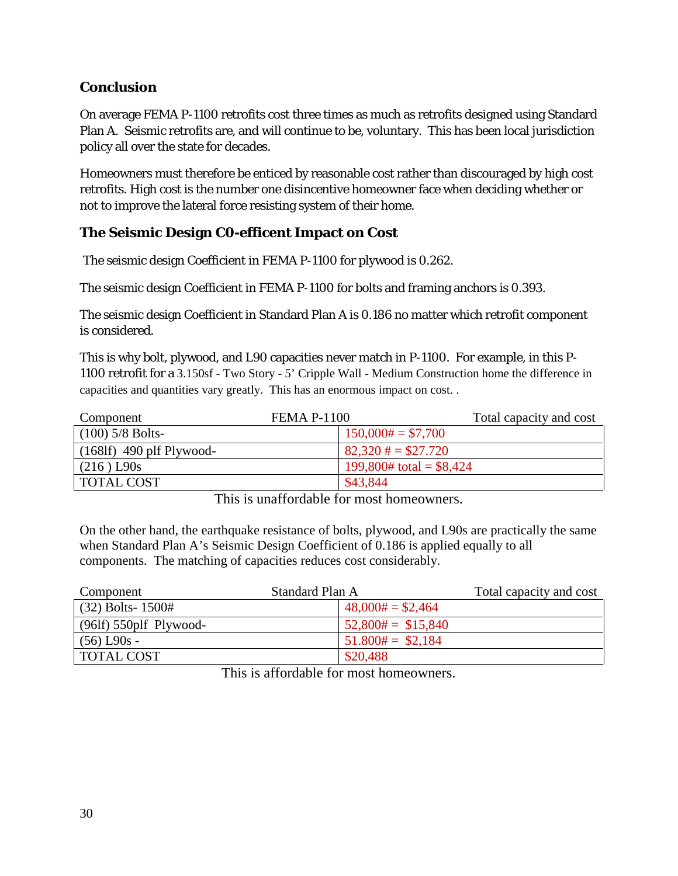## **Conclusion**

On average FEMA P-1100 retrofits cost three times as much as retrofits designed using Standard Plan A. Seismic retrofits are, and will continue to be, voluntary. This has been local jurisdiction policy all over the state for decades.

Homeowners must therefore be enticed by reasonable cost rather than discouraged by high cost retrofits. High cost is the number one disincentive homeowner face when deciding whether or not to improve the lateral force resisting system of their home.

## **The Seismic Design C0-efficent Impact on Cost**

The seismic design Coefficient in FEMA P-1100 for plywood is 0.262.

The seismic design Coefficient in FEMA P-1100 for bolts and framing anchors is 0.393.

The seismic design Coefficient in Standard Plan A is 0.186 no matter which retrofit component is considered.

This is why bolt, plywood, and L90 capacities never match in P-1100. For example, in this P-1100 retrofit for a 3.150sf - Two Story - 5' Cripple Wall - Medium Construction home the difference in capacities and quantities vary greatly. This has an enormous impact on cost. .

| Component                         | <b>FEMA P-1100</b>             | Total capacity and cost |
|-----------------------------------|--------------------------------|-------------------------|
| $(100)$ 5/8 Bolts-                | $150,000# = $7,700$            |                         |
| $(168\text{If})$ 490 plf Plywood- | $82,320 \text{ } \# = $27.720$ |                         |
| $(216)$ L90s                      | 199,800# total = $$8,424$      |                         |
| <b>TOTAL COST</b>                 | \$43,844                       |                         |

This is unaffordable for most homeowners.

On the other hand, the earthquake resistance of bolts, plywood, and L90s are practically the same when Standard Plan A's Seismic Design Coefficient of 0.186 is applied equally to all components. The matching of capacities reduces cost considerably.

| Component                | Standard Plan A           | Total capacity and cost |
|--------------------------|---------------------------|-------------------------|
| $(32)$ Bolts- 1500#      | $48,000# = $2,464$        |                         |
| $(96If)$ 550plf Plywood- | $52,800 \# = $15,840$     |                         |
| $(56)$ L90s -            | $51.800\text{#} = $2,184$ |                         |
| <b>TOTAL COST</b>        | \$20,488                  |                         |

This is affordable for most homeowners.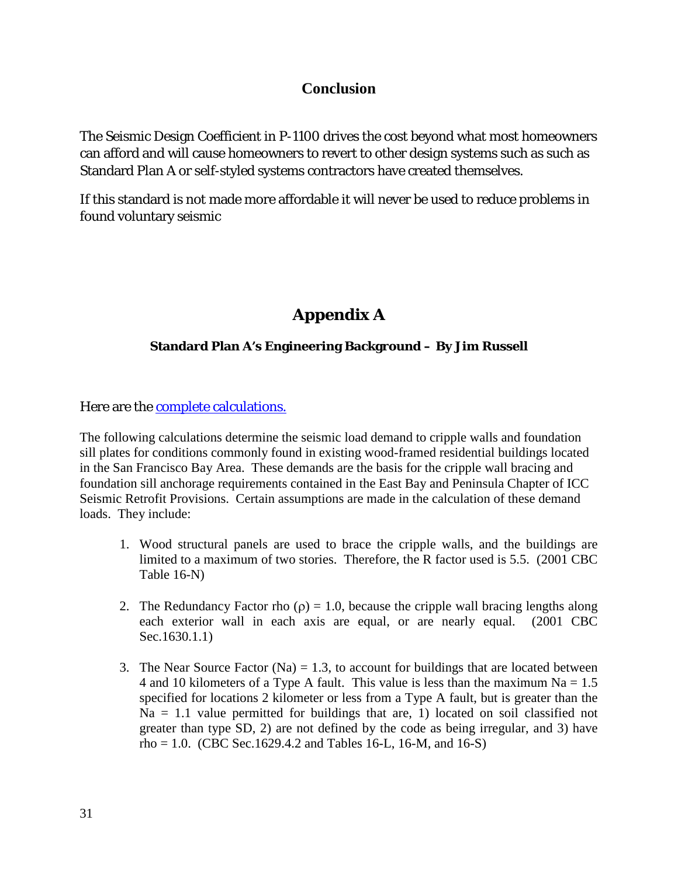## **Conclusion**

The Seismic Design Coefficient in P-1100 drives the cost beyond what most homeowners can afford and will cause homeowners to revert to other design systems such as such as Standard Plan A or self-styled systems contractors have created themselves.

If this standard is not made more affordable it will never be used to reduce problems in found voluntary seismic

# **Appendix A**

### **Standard Plan A's Engineering Background – By Jim Russell**

Here are the **complete calculations**.

The following calculations determine the seismic load demand to cripple walls and foundation sill plates for conditions commonly found in existing wood-framed residential buildings located in the San Francisco Bay Area. These demands are the basis for the cripple wall bracing and foundation sill anchorage requirements contained in the East Bay and Peninsula Chapter of ICC Seismic Retrofit Provisions. Certain assumptions are made in the calculation of these demand loads. They include:

- 1. Wood structural panels are used to brace the cripple walls, and the buildings are limited to a maximum of two stories. Therefore, the R factor used is 5.5. (2001 CBC Table 16-N)
- 2. The Redundancy Factor rho ( $\rho$ ) = 1.0, because the cripple wall bracing lengths along each exterior wall in each axis are equal, or are nearly equal. (2001 CBC Sec.1630.1.1)
- 3. The Near Source Factor (Na)  $= 1.3$ , to account for buildings that are located between 4 and 10 kilometers of a Type A fault. This value is less than the maximum  $Na = 1.5$ specified for locations 2 kilometer or less from a Type A fault, but is greater than the  $Na = 1.1$  value permitted for buildings that are, 1) located on soil classified not greater than type SD, 2) are not defined by the code as being irregular, and 3) have  $rho = 1.0$ . (CBC Sec.1629.4.2 and Tables 16-L, 16-M, and 16-S)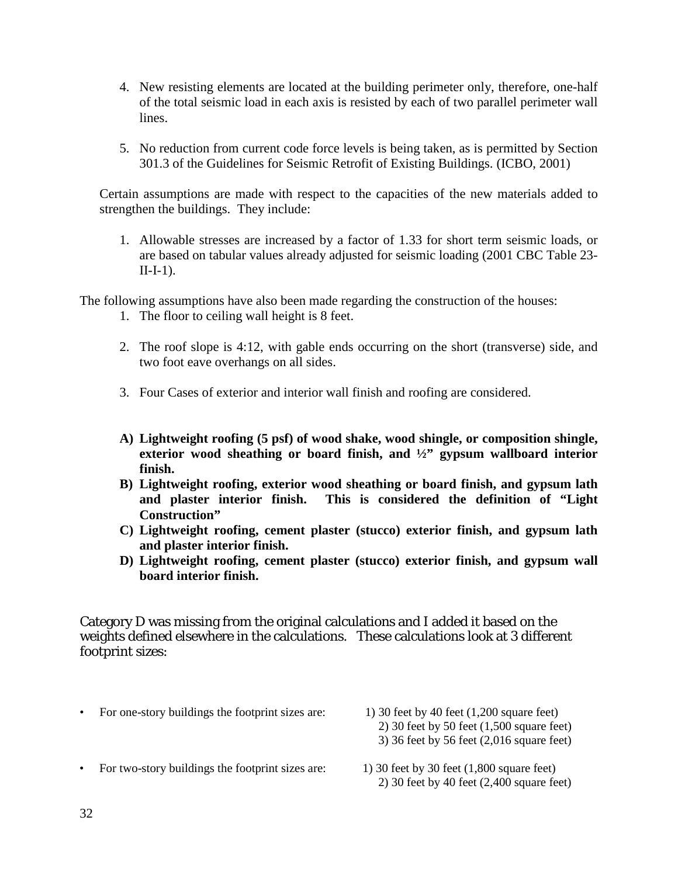- 4. New resisting elements are located at the building perimeter only, therefore, one-half of the total seismic load in each axis is resisted by each of two parallel perimeter wall lines.
- 5. No reduction from current code force levels is being taken, as is permitted by Section 301.3 of the Guidelines for Seismic Retrofit of Existing Buildings. (ICBO, 2001)

Certain assumptions are made with respect to the capacities of the new materials added to strengthen the buildings. They include:

1. Allowable stresses are increased by a factor of 1.33 for short term seismic loads, or are based on tabular values already adjusted for seismic loading (2001 CBC Table 23-  $II-I-1$ ).

The following assumptions have also been made regarding the construction of the houses:

- 1. The floor to ceiling wall height is 8 feet.
- 2. The roof slope is 4:12, with gable ends occurring on the short (transverse) side, and two foot eave overhangs on all sides.
- 3. Four Cases of exterior and interior wall finish and roofing are considered.
- **A) Lightweight roofing (5 psf) of wood shake, wood shingle, or composition shingle, exterior wood sheathing or board finish, and ½" gypsum wallboard interior finish.**
- **B) Lightweight roofing, exterior wood sheathing or board finish, and gypsum lath**  This is considered the definition of "Light **Construction"**
- **C) Lightweight roofing, cement plaster (stucco) exterior finish, and gypsum lath and plaster interior finish.**
- **D) Lightweight roofing, cement plaster (stucco) exterior finish, and gypsum wall board interior finish.**

Category D was missing from the original calculations and I added it based on the weights defined elsewhere in the calculations. These calculations look at 3 different footprint sizes:

- For one-story buildings the footprint sizes are: 1) 30 feet by 40 feet (1,200 square feet)
- 2) 30 feet by 50 feet  $(1,500)$  square feet) 3) 36 feet by 56 feet (2,016 square feet)
- For two-story buildings the footprint sizes are: 1) 30 feet by 30 feet  $(1,800)$  square feet)
	- 2) 30 feet by 40 feet (2,400 square feet)